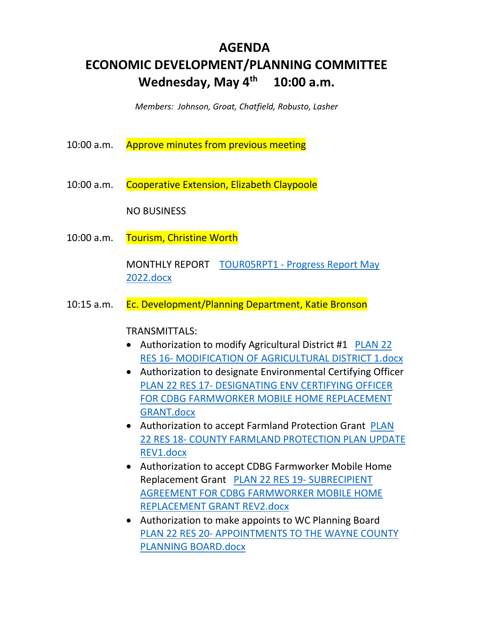# **AGENDA ECONOMIC DEVELOPMENT/PLANNING COMMITTEE Wednesday, May 4th 10:00 a.m.**

*Members: Johnson, Groat, Chatfield, Robusto, Lasher* 

| 10:00 a.m. Approve minutes from previous meeting |  |
|--------------------------------------------------|--|
|                                                  |  |

10:00 a.m. Cooperative Extension, Elizabeth Claypoole

NO BUSINESS

10:00 a.m. Tourism, Christine Worth

MONTHLY REPORT TOUR05RPT1 - Progress Report May 2022.docx

10:15 a.m. Ec. Development/Planning Department, Katie Bronson

TRANSMITTALS:

- Authorization to modify Agricultural District #1 PLAN 22 RES 16- MODIFICATION OF AGRICULTURAL DISTRICT 1.docx
- Authorization to designate Environmental Certifying Officer PLAN 22 RES 17- DESIGNATING ENV CERTIFYING OFFICER FOR CDBG FARMWORKER MOBILE HOME REPLACEMENT GRANT.docx
- Authorization to accept Farmland Protection Grant PLAN 22 RES 18- COUNTY FARMLAND PROTECTION PLAN UPDATE REV1.docx
- Authorization to accept CDBG Farmworker Mobile Home Replacement Grant PLAN 22 RES 19- SUBRECIPIENT AGREEMENT FOR CDBG FARMWORKER MOBILE HOME REPLACEMENT GRANT REV2.docx
- Authorization to make appoints to WC Planning Board PLAN 22 RES 20- APPOINTMENTS TO THE WAYNE COUNTY PLANNING BOARD.docx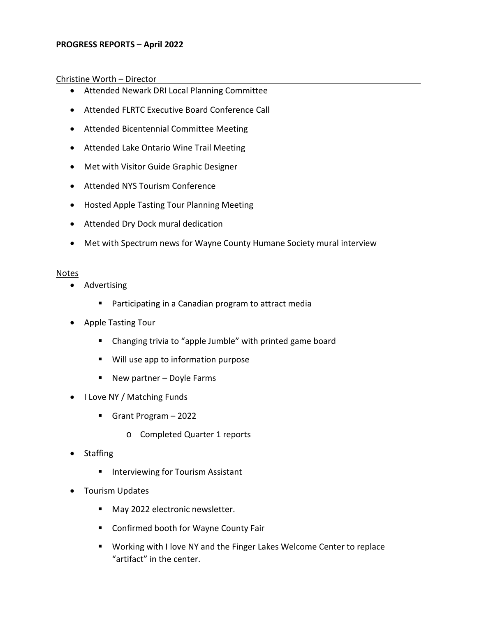# **PROGRESS REPORTS – April 2022**

# Christine Worth – Director

- Attended Newark DRI Local Planning Committee
- Attended FLRTC Executive Board Conference Call
- Attended Bicentennial Committee Meeting
- Attended Lake Ontario Wine Trail Meeting
- Met with Visitor Guide Graphic Designer
- Attended NYS Tourism Conference
- Hosted Apple Tasting Tour Planning Meeting
- Attended Dry Dock mural dedication
- Met with Spectrum news for Wayne County Humane Society mural interview

### **Notes**

- Advertising
	- **Participating in a Canadian program to attract media**
- Apple Tasting Tour
	- Changing trivia to "apple Jumble" with printed game board
	- **Will use app to information purpose**
	- New partner Doyle Farms
- I Love NY / Matching Funds
	- Grant Program 2022
		- o Completed Quarter 1 reports
- Staffing
	- **Interviewing for Tourism Assistant**
- Tourism Updates
	- May 2022 electronic newsletter.
	- Confirmed booth for Wayne County Fair
	- **Working with I love NY and the Finger Lakes Welcome Center to replace** "artifact" in the center.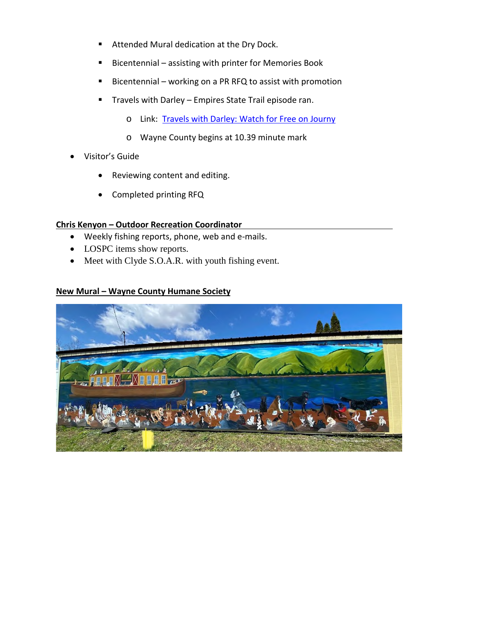- Attended Mural dedication at the Dry Dock.
- Bicentennial assisting with printer for Memories Book
- Bicentennial working on a PR RFQ to assist with promotion
- **Travels with Darley Empires State Trail episode ran.** 
	- o Link: [Travels with Darley: Watch for Free on Journy](https://journy.tv/watch/travels-with-darley/new-yorks-empire-state-trail/)
	- o Wayne County begins at 10.39 minute mark
- Visitor's Guide
	- Reviewing content and editing.
	- Completed printing RFQ

# **Chris Kenyon – Outdoor Recreation Coordinator**

- Weekly fishing reports, phone, web and e-mails.
- LOSPC items show reports.
- Meet with Clyde S.O.A.R. with youth fishing event.

# **New Mural – Wayne County Humane Society**

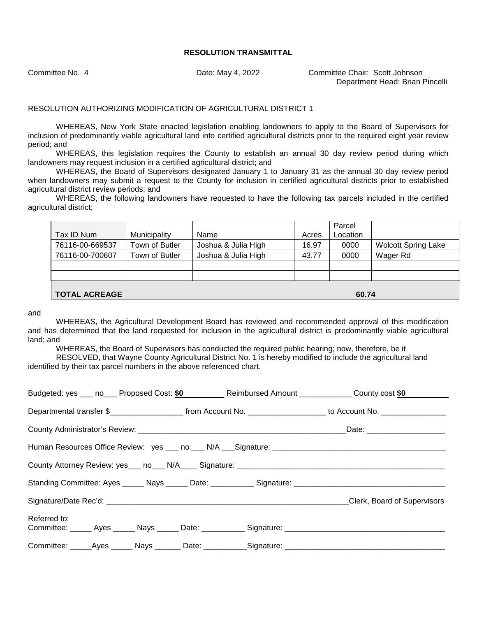Committee No. 4 Date: May 4, 2022 Committee Chair: Scott Johnson Department Head: Brian Pincelli

## RESOLUTION AUTHORIZING MODIFICATION OF AGRICULTURAL DISTRICT 1

WHEREAS, New York State enacted legislation enabling landowners to apply to the Board of Supervisors for inclusion of predominantly viable agricultural land into certified agricultural districts prior to the required eight year review period; and

WHEREAS, this legislation requires the County to establish an annual 30 day review period during which landowners may request inclusion in a certified agricultural district; and

WHEREAS, the Board of Supervisors designated January 1 to January 31 as the annual 30 day review period when landowners may submit a request to the County for inclusion in certified agricultural districts prior to established agricultural district review periods; and

WHEREAS, the following landowners have requested to have the following tax parcels included in the certified agricultural district;

|                               |                |                     |       | Parcel   |                            |
|-------------------------------|----------------|---------------------|-------|----------|----------------------------|
| Tax ID Num                    | Municipality   | Name                | Acres | Location |                            |
| 76116-00-669537               | Town of Butler | Joshua & Julia High | 16.97 | 0000     | <b>Wolcott Spring Lake</b> |
| 76116-00-700607               | Town of Butler | Joshua & Julia High | 43.77 | 0000     | Wager Rd                   |
|                               |                |                     |       |          |                            |
|                               |                |                     |       |          |                            |
| <b>TOTAL ACREAGE</b><br>60.74 |                |                     |       |          |                            |

and

WHEREAS, the Agricultural Development Board has reviewed and recommended approval of this modification and has determined that the land requested for inclusion in the agricultural district is predominantly viable agricultural land; and

WHEREAS, the Board of Supervisors has conducted the required public hearing; now, therefore, be it

RESOLVED, that Wayne County Agricultural District No. 1 is hereby modified to include the agricultural land identified by their tax parcel numbers in the above referenced chart.

|              |  |                                                                                                      | Budgeted: yes ___ no___ Proposed Cost: \$0 _________ Reimbursed Amount ____________ County cost \$0 |
|--------------|--|------------------------------------------------------------------------------------------------------|-----------------------------------------------------------------------------------------------------|
|              |  |                                                                                                      |                                                                                                     |
|              |  |                                                                                                      |                                                                                                     |
|              |  | Human Resources Office Review: yes ___ no ___ N/A ___ Signature: ___________________________________ |                                                                                                     |
|              |  |                                                                                                      |                                                                                                     |
|              |  |                                                                                                      |                                                                                                     |
|              |  |                                                                                                      | Clerk, Board of Supervisors                                                                         |
| Referred to: |  |                                                                                                      |                                                                                                     |
|              |  | Committee: _____Ayes ______ Nays _______ Date: ___________Signature: ______________________________  |                                                                                                     |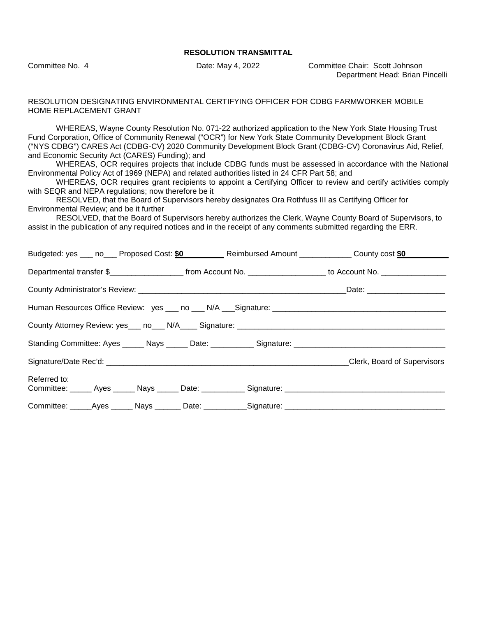Committee No. 4 Date: May 4, 2022 Committee Chair: Scott Johnson Department Head: Brian Pincelli

#### RESOLUTION DESIGNATING ENVIRONMENTAL CERTIFYING OFFICER FOR CDBG FARMWORKER MOBILE HOME REPLACEMENT GRANT

WHEREAS, Wayne County Resolution No. 071-22 authorized application to the New York State Housing Trust Fund Corporation, Office of Community Renewal ("OCR") for New York State Community Development Block Grant ("NYS CDBG") CARES Act (CDBG-CV) 2020 Community Development Block Grant (CDBG-CV) Coronavirus Aid, Relief, and Economic Security Act (CARES) Funding); and

WHEREAS, OCR requires projects that include CDBG funds must be assessed in accordance with the National Environmental Policy Act of 1969 (NEPA) and related authorities listed in 24 CFR Part 58; and

WHEREAS, OCR requires grant recipients to appoint a Certifying Officer to review and certify activities comply with SEQR and NEPA regulations; now therefore be it

RESOLVED, that the Board of Supervisors hereby designates Ora Rothfuss III as Certifying Officer for Environmental Review; and be it further

RESOLVED, that the Board of Supervisors hereby authorizes the Clerk, Wayne County Board of Supervisors, to assist in the publication of any required notices and in the receipt of any comments submitted regarding the ERR.

| Budgeted: yes ____ no____ Proposed Cost: \$0____________ Reimbursed Amount ______________ County cost \$0            |                             |
|----------------------------------------------------------------------------------------------------------------------|-----------------------------|
|                                                                                                                      |                             |
|                                                                                                                      |                             |
| Human Resources Office Review: yes ___ no ___ N/A ___ Signature: ___________________________________                 |                             |
|                                                                                                                      |                             |
|                                                                                                                      |                             |
|                                                                                                                      | Clerk, Board of Supervisors |
| Referred to:<br>Committee: ______ Ayes ______ Nays ______ Date: ___________ Signature: _____________________________ |                             |
|                                                                                                                      |                             |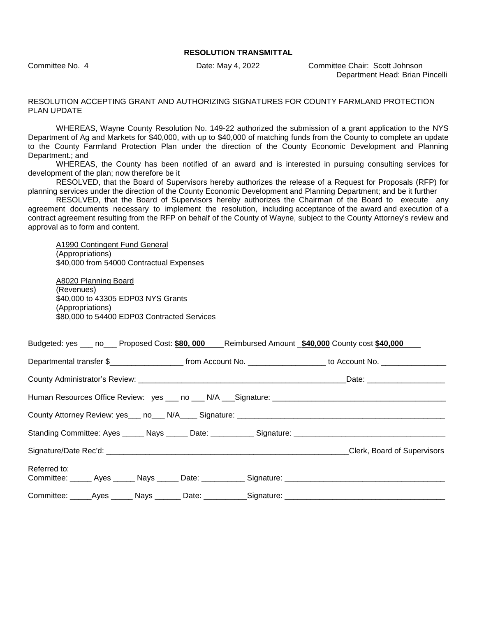Committee No. 4 Date: May 4, 2022 Committee Chair: Scott Johnson Department Head: Brian Pincelli

#### RESOLUTION ACCEPTING GRANT AND AUTHORIZING SIGNATURES FOR COUNTY FARMLAND PROTECTION PLAN UPDATE

WHEREAS, Wayne County Resolution No. 149-22 authorized the submission of a grant application to the NYS Department of Ag and Markets for \$40,000, with up to \$40,000 of matching funds from the County to complete an update to the County Farmland Protection Plan under the direction of the County Economic Development and Planning Department.; and

WHEREAS, the County has been notified of an award and is interested in pursuing consulting services for development of the plan; now therefore be it

RESOLVED, that the Board of Supervisors hereby authorizes the release of a Request for Proposals (RFP) for planning services under the direction of the County Economic Development and Planning Department; and be it further

RESOLVED, that the Board of Supervisors hereby authorizes the Chairman of the Board to execute any agreement documents necessary to implement the resolution, including acceptance of the award and execution of a contract agreement resulting from the RFP on behalf of the County of Wayne, subject to the County Attorney's review and approval as to form and content.

A1990 Contingent Fund General (Appropriations) \$40,000 from 54000 Contractual Expenses

A8020 Planning Board (Revenues) \$40,000 to 43305 EDP03 NYS Grants (Appropriations) \$80,000 to 54400 EDP03 Contracted Services

| Budgeted: yes ___ no___ Proposed Cost: \$80,000 ___Reimbursed Amount _\$40,000 County cost \$40,000 ___ |  |  |                                                                                                                       |  |
|---------------------------------------------------------------------------------------------------------|--|--|-----------------------------------------------------------------------------------------------------------------------|--|
|                                                                                                         |  |  | Departmental transfer \$________________________ from Account No. ____________________ to Account No. _______________ |  |
|                                                                                                         |  |  |                                                                                                                       |  |
|                                                                                                         |  |  |                                                                                                                       |  |
|                                                                                                         |  |  |                                                                                                                       |  |
|                                                                                                         |  |  |                                                                                                                       |  |
|                                                                                                         |  |  |                                                                                                                       |  |
| Referred to:                                                                                            |  |  |                                                                                                                       |  |
| Committee: _____Ayes ______ Nays _______ Date: ___________Signature: _______________________________    |  |  |                                                                                                                       |  |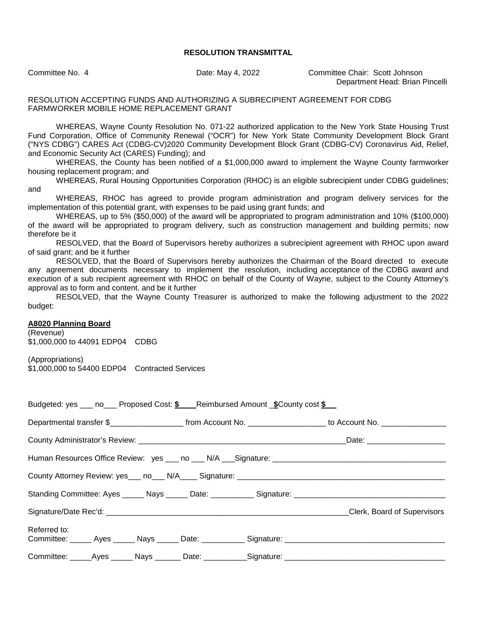Committee No. 4 Date: May 4, 2022 Committee Chair: Scott Johnson Department Head: Brian Pincelli

#### RESOLUTION ACCEPTING FUNDS AND AUTHORIZING A SUBRECIPIENT AGREEMENT FOR CDBG FARMWORKER MOBILE HOME REPLACEMENT GRANT

WHEREAS, Wayne County Resolution No. 071-22 authorized application to the New York State Housing Trust Fund Corporation, Office of Community Renewal ("OCR") for New York State Community Development Block Grant ("NYS CDBG") CARES Act (CDBG-CV)2020 Community Development Block Grant (CDBG-CV) Coronavirus Aid, Relief, and Economic Security Act (CARES) Funding); and

WHEREAS, the County has been notified of a \$1,000,000 award to implement the Wayne County farmworker housing replacement program; and

WHEREAS, Rural Housing Opportunities Corporation (RHOC) is an eligible subrecipient under CDBG guidelines; and

WHEREAS, RHOC has agreed to provide program administration and program delivery services for the implementation of this potential grant, with expenses to be paid using grant funds; and

WHEREAS, up to 5% (\$50,000) of the award will be appropriated to program administration and 10% (\$100,000) of the award will be appropriated to program delivery, such as construction management and building permits; now therefore be it

RESOLVED, that the Board of Supervisors hereby authorizes a subrecipient agreement with RHOC upon award of said grant; and be it further

RESOLVED, that the Board of Supervisors hereby authorizes the Chairman of the Board directed to execute any agreement documents necessary to implement the resolution, including acceptance of the CDBG award and execution of a sub recipient agreement with RHOC on behalf of the County of Wayne, subject to the County Attorney's approval as to form and content. and be it further

RESOLVED, that the Wayne County Treasurer is authorized to make the following adjustment to the 2022 budget:

#### **A8020 Planning Board**

(Revenue) \$1,000,000 to 44091 EDP04 CDBG

(Appropriations) \$1,000,000 to 54400 EDP04 Contracted Services

| Budgeted: yes ____ no____ Proposed Cost: \$ Reimbursed Amount _\$County cost \$                                     |                                                                                                                       |  |                             |
|---------------------------------------------------------------------------------------------------------------------|-----------------------------------------------------------------------------------------------------------------------|--|-----------------------------|
|                                                                                                                     | Departmental transfer \$________________________ from Account No. ____________________ to Account No. _______________ |  |                             |
|                                                                                                                     |                                                                                                                       |  |                             |
|                                                                                                                     |                                                                                                                       |  |                             |
|                                                                                                                     |                                                                                                                       |  |                             |
|                                                                                                                     |                                                                                                                       |  |                             |
|                                                                                                                     |                                                                                                                       |  | Clerk, Board of Supervisors |
| Referred to:<br>Committee: ______ Ayes ______ Nays ______ Date: ___________ Signature: ____________________________ |                                                                                                                       |  |                             |
| Committee: _____Ayes ______ Nays _______ Date: ___________Signature: _______________________________                |                                                                                                                       |  |                             |